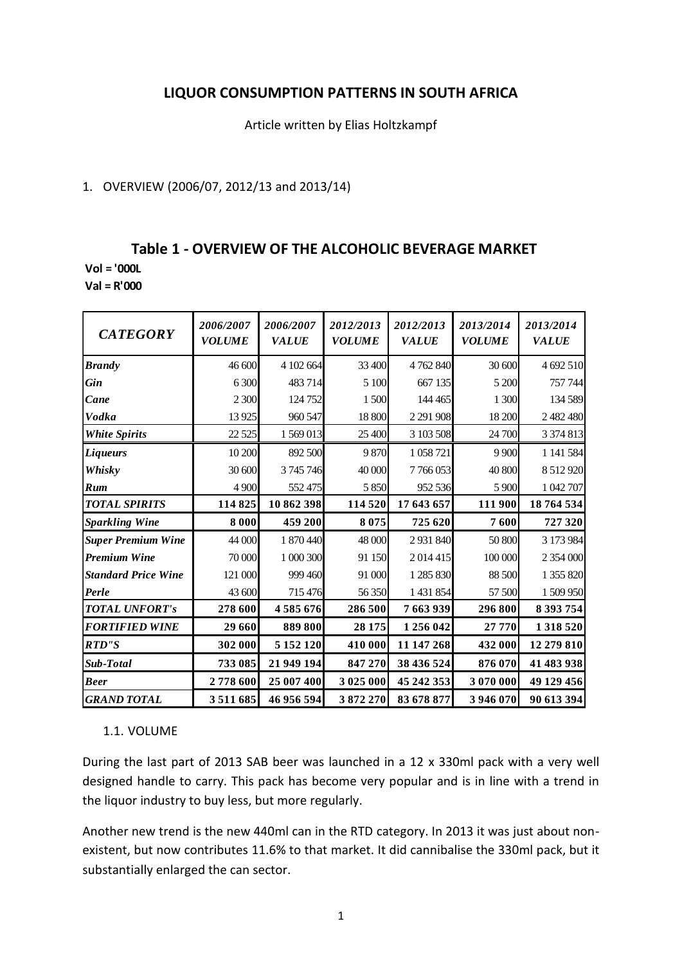# **LIQUOR CONSUMPTION PATTERNS IN SOUTH AFRICA**

Article written by Elias Holtzkampf

## 1. OVERVIEW (2006/07, 2012/13 and 2013/14)

## **Table 1 - OVERVIEW OF THE ALCOHOLIC BEVERAGE MARKET**

**Vol = '000L**

**Val = R'000**

| <b>CATEGORY</b>            | 2006/2007<br><b>VOLUME</b> | 2006/2007<br><b>VALUE</b> | 2012/2013<br><b>VOLUME</b> | 2012/2013<br><b>VALUE</b> | 2013/2014<br><b>VOLUME</b> | 2013/2014<br><b>VALUE</b> |
|----------------------------|----------------------------|---------------------------|----------------------------|---------------------------|----------------------------|---------------------------|
| <b>Brandy</b>              | 46 600                     | 4 102 664                 | 33 400                     | 4762840                   | 30 600                     | 4 692 510                 |
| <b>Gin</b>                 | 6 300                      | 483714                    | 5 100                      | 667 135                   | 5 200                      | 757 744                   |
| Cane                       | 2 3 0 0                    | 124 752                   | 1500                       | 144 465                   | 1 300                      | 134 589                   |
| <b>Vodka</b>               | 13 9 25                    | 960 547                   | 18 800                     | 2 2 9 1 9 0 8             | 18 200                     | 2 482 480                 |
| <b>White Spirits</b>       | 22 5 25                    | 1 569 013                 | 25 400                     | 3 103 508                 | 24 700                     | 3 3 7 4 8 1 3             |
| <b>Liqueurs</b>            | 10 200                     | 892 500                   | 9870                       | 1058721                   | 9 9 0 0                    | 1 141 584                 |
| Whisky                     | 30 600                     | 3745746                   | 40 000                     | 7766053                   | 40 800                     | 8 5 1 2 9 2 0             |
| Rum                        | 4 9 0 0                    | 552475                    | 5 8 5 0                    | 952 536                   | 5 9 0 0                    | 1 042 707                 |
| <b>TOTAL SPIRITS</b>       | 114825                     | 10 862 398                | 114 520                    | 17 643 657                | 111 900                    | 18764534                  |
| <b>Sparkling Wine</b>      | 8 0 0 0                    | 459 200                   | 8 0 7 5                    | 725 620                   | 7600                       | 727 320                   |
| <b>Super Premium Wine</b>  | 44 000                     | 1870440                   | 48 000                     | 2931840                   | 50 800                     | 3 173 984                 |
| <b>Premium Wine</b>        | 70 000                     | 1 000 300                 | 91 150                     | 2014415                   | 100 000                    | 2 354 000                 |
| <b>Standard Price Wine</b> | 121 000                    | 999 460                   | 91 000                     | 1 285 830                 | 88 500                     | 1 355 820                 |
| Perle                      | 43 600                     | 715476                    | 56 350                     | 1 431 854                 | 57 500                     | 1 509 950                 |
| <b>TOTAL UNFORT's</b>      | 278 600                    | 4585676                   | 286 500                    | 7 663 939                 | 296 800                    | 8 393 754                 |
| <b>FORTIFIED WINE</b>      | 29 660                     | 889 800                   | 28 175                     | 1 256 042                 | 27 770                     | 1318520                   |
| <b>RTD"S</b>               | 302 000                    | 5 152 120                 | 410 000                    | 11 147 268                | 432 000                    | 12 279 810                |
| Sub-Total                  | 733 085                    | 21 949 194                | 847 270                    | 38 436 524                | 876 070                    | 41 483 938                |
| <b>Beer</b>                | 2778600                    | 25 007 400                | 3 025 000                  | 45 242 353                | 3 070 000                  | 49 129 456                |
| <b>GRAND TOTAL</b>         | 3 5 1 1 6 8 5              | 46 956 594                | 3872270                    | 83 678 877                | 3 946 070                  | 90 613 394                |

## 1.1. VOLUME

During the last part of 2013 SAB beer was launched in a 12 x 330ml pack with a very well designed handle to carry. This pack has become very popular and is in line with a trend in the liquor industry to buy less, but more regularly.

Another new trend is the new 440ml can in the RTD category. In 2013 it was just about nonexistent, but now contributes 11.6% to that market. It did cannibalise the 330ml pack, but it substantially enlarged the can sector.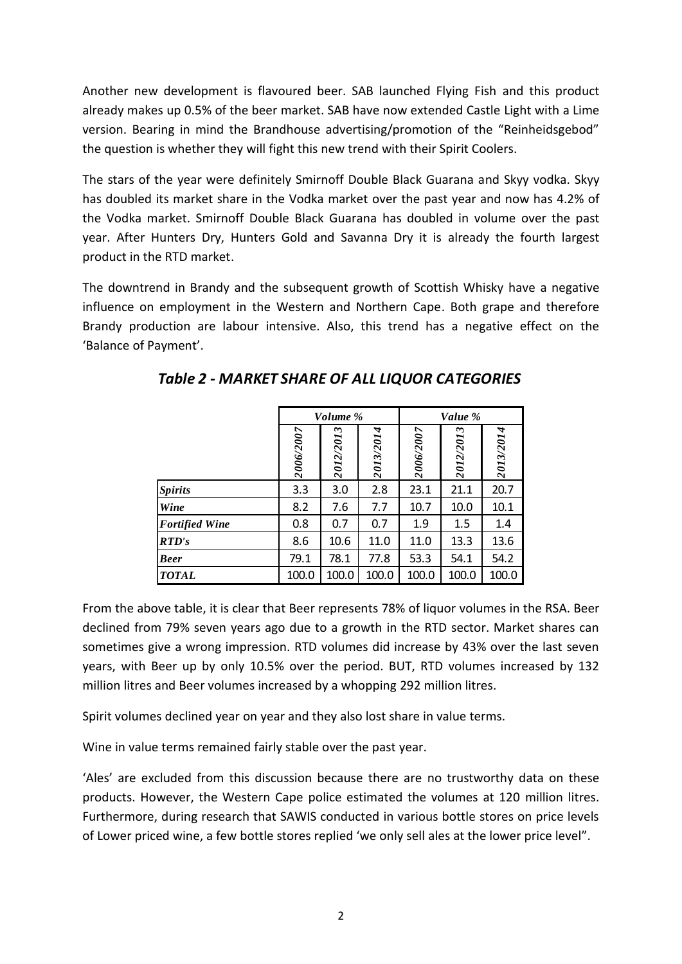Another new development is flavoured beer. SAB launched Flying Fish and this product already makes up 0.5% of the beer market. SAB have now extended Castle Light with a Lime version. Bearing in mind the Brandhouse advertising/promotion of the "Reinheidsgebod" the question is whether they will fight this new trend with their Spirit Coolers.

The stars of the year were definitely Smirnoff Double Black Guarana and Skyy vodka. Skyy has doubled its market share in the Vodka market over the past year and now has 4.2% of the Vodka market. Smirnoff Double Black Guarana has doubled in volume over the past year. After Hunters Dry, Hunters Gold and Savanna Dry it is already the fourth largest product in the RTD market.

The downtrend in Brandy and the subsequent growth of Scottish Whisky have a negative influence on employment in the Western and Northern Cape. Both grape and therefore Brandy production are labour intensive. Also, this trend has a negative effect on the 'Balance of Payment'.

|                       |           | Volume %  |           | Value %   |           |           |  |  |
|-----------------------|-----------|-----------|-----------|-----------|-----------|-----------|--|--|
|                       | 2006/2007 | 2012/2013 | 2013/2014 | 2006/2007 | 2012/2013 | 2013/2014 |  |  |
| <b>Spirits</b>        | 3.3       | 3.0       | 2.8       | 23.1      | 21.1      | 20.7      |  |  |
| Wine                  | 8.2       | 7.6       | 7.7       | 10.7      | 10.0      | 10.1      |  |  |
| <b>Fortified Wine</b> | 0.8       | 0.7       | 0.7       | 1.9       | 1.5       | 1.4       |  |  |
| RTD's                 | 8.6       | 10.6      | 11.0      | 11.0      | 13.3      | 13.6      |  |  |
| <b>Beer</b>           | 79.1      | 78.1      | 77.8      | 53.3      | 54.1      | 54.2      |  |  |
| <b>TOTAL</b>          | 100.0     | 100.0     | 100.0     | 100.0     | 100.0     | 100.0     |  |  |

*Table 2 - MARKET SHARE OF ALL LIQUOR CATEGORIES*

From the above table, it is clear that Beer represents 78% of liquor volumes in the RSA. Beer declined from 79% seven years ago due to a growth in the RTD sector. Market shares can sometimes give a wrong impression. RTD volumes did increase by 43% over the last seven years, with Beer up by only 10.5% over the period. BUT, RTD volumes increased by 132 million litres and Beer volumes increased by a whopping 292 million litres.

Spirit volumes declined year on year and they also lost share in value terms.

Wine in value terms remained fairly stable over the past year.

'Ales' are excluded from this discussion because there are no trustworthy data on these products. However, the Western Cape police estimated the volumes at 120 million litres. Furthermore, during research that SAWIS conducted in various bottle stores on price levels of Lower priced wine, a few bottle stores replied 'we only sell ales at the lower price level".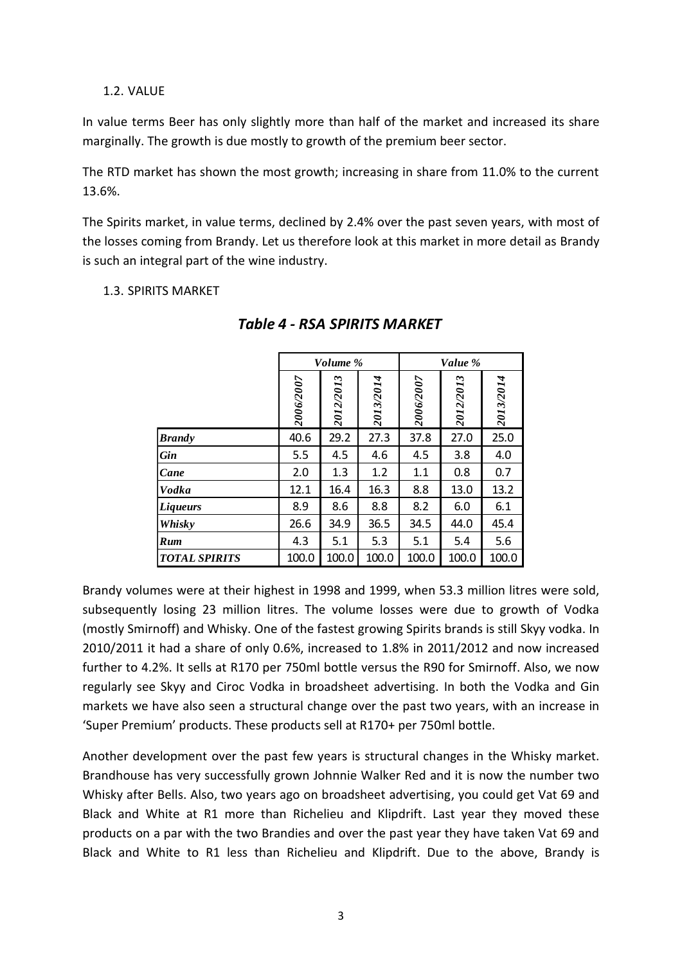### 1.2. VALUE

In value terms Beer has only slightly more than half of the market and increased its share marginally. The growth is due mostly to growth of the premium beer sector.

The RTD market has shown the most growth; increasing in share from 11.0% to the current 13.6%.

The Spirits market, in value terms, declined by 2.4% over the past seven years, with most of the losses coming from Brandy. Let us therefore look at this market in more detail as Brandy is such an integral part of the wine industry.

1.3. SPIRITS MARKET

|                      |           | Volume %  |           | Value %   |           |           |  |  |
|----------------------|-----------|-----------|-----------|-----------|-----------|-----------|--|--|
|                      | 2006/2007 | 2012/2013 | 2013/2014 | 2006/2007 | 2012/2013 | 2013/2014 |  |  |
| <b>Brandy</b>        | 40.6      | 29.2      | 27.3      | 37.8      | 27.0      | 25.0      |  |  |
| <b>Gin</b>           | 5.5       | 4.5       | 4.6       | 4.5       | 3.8       | 4.0       |  |  |
| Cane                 | 2.0       | 1.3       | 1.2       | 1.1       | 0.8       | 0.7       |  |  |
| <b>Vodka</b>         | 12.1      | 16.4      | 16.3      | 8.8       | 13.0      | 13.2      |  |  |
| <b>Liqueurs</b>      | 8.9       | 8.6       | 8.8       | 8.2       | 6.0       | 6.1       |  |  |
| Whisky               | 26.6      | 34.9      | 36.5      | 34.5      | 44.0      | 45.4      |  |  |
| Rum                  | 4.3       | 5.1       | 5.3       | 5.1       | 5.4       | 5.6       |  |  |
| <b>TOTAL SPIRITS</b> | 100.0     | 100.0     | 100.0     | 100.0     | 100.0     | 100.0     |  |  |

# *Table 4 - RSA SPIRITS MARKET*

Ē

Brandy volumes were at their highest in 1998 and 1999, when 53.3 million litres were sold, subsequently losing 23 million litres. The volume losses were due to growth of Vodka (mostly Smirnoff) and Whisky. One of the fastest growing Spirits brands is still Skyy vodka. In 2010/2011 it had a share of only 0.6%, increased to 1.8% in 2011/2012 and now increased further to 4.2%. It sells at R170 per 750ml bottle versus the R90 for Smirnoff. Also, we now regularly see Skyy and Ciroc Vodka in broadsheet advertising. In both the Vodka and Gin markets we have also seen a structural change over the past two years, with an increase in 'Super Premium' products. These products sell at R170+ per 750ml bottle.

Another development over the past few years is structural changes in the Whisky market. Brandhouse has very successfully grown Johnnie Walker Red and it is now the number two Whisky after Bells. Also, two years ago on broadsheet advertising, you could get Vat 69 and Black and White at R1 more than Richelieu and Klipdrift. Last year they moved these products on a par with the two Brandies and over the past year they have taken Vat 69 and Black and White to R1 less than Richelieu and Klipdrift. Due to the above, Brandy is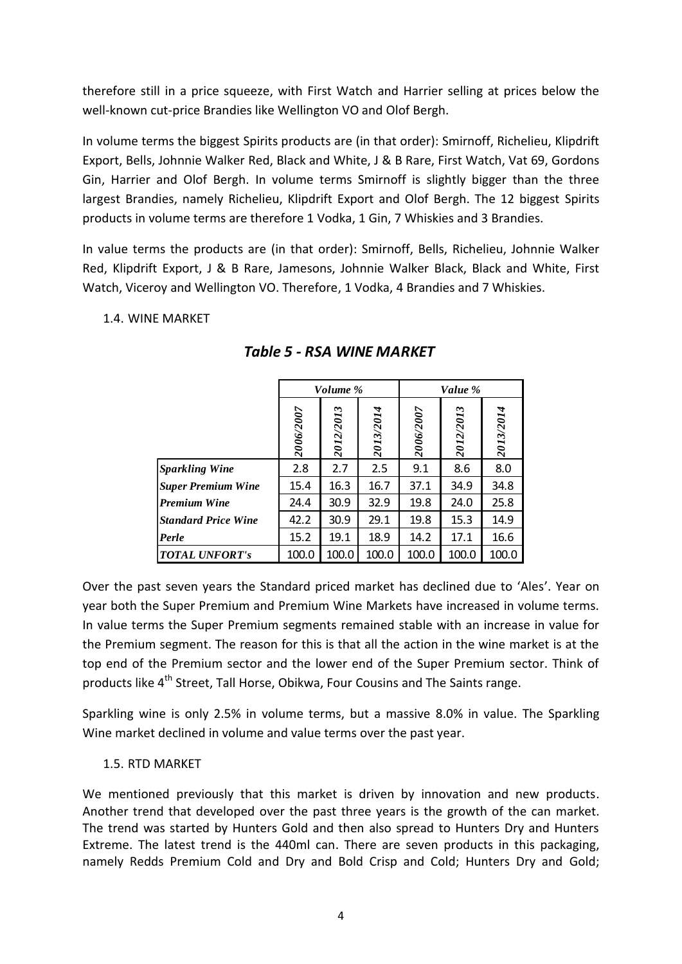therefore still in a price squeeze, with First Watch and Harrier selling at prices below the well-known cut-price Brandies like Wellington VO and Olof Bergh.

In volume terms the biggest Spirits products are (in that order): Smirnoff, Richelieu, Klipdrift Export, Bells, Johnnie Walker Red, Black and White, J & B Rare, First Watch, Vat 69, Gordons Gin, Harrier and Olof Bergh. In volume terms Smirnoff is slightly bigger than the three largest Brandies, namely Richelieu, Klipdrift Export and Olof Bergh. The 12 biggest Spirits products in volume terms are therefore 1 Vodka, 1 Gin, 7 Whiskies and 3 Brandies.

In value terms the products are (in that order): Smirnoff, Bells, Richelieu, Johnnie Walker Red, Klipdrift Export, J & B Rare, Jamesons, Johnnie Walker Black, Black and White, First Watch, Viceroy and Wellington VO. Therefore, 1 Vodka, 4 Brandies and 7 Whiskies.

### 1.4. WINE MARKET

|                            |           | Volume %  |           | Value %   |           |           |  |
|----------------------------|-----------|-----------|-----------|-----------|-----------|-----------|--|
|                            | 2006/2007 | 2012/2013 | 2013/2014 | 2006/2007 | 2012/2013 | 2013/2014 |  |
| <b>Sparkling Wine</b>      | 2.8       | 2.7       | 2.5       | 9.1       | 8.6       | 8.0       |  |
| <b>Super Premium Wine</b>  | 15.4      | 16.3      | 16.7      | 37.1      | 34.9      | 34.8      |  |
| <b>Premium Wine</b>        | 24.4      | 30.9      | 32.9      | 19.8      | 24.0      | 25.8      |  |
| <b>Standard Price Wine</b> | 42.2      | 30.9      | 29.1      | 19.8      | 15.3      | 14.9      |  |
| Perle                      | 15.2      | 19.1      | 18.9      | 14.2      | 17.1      | 16.6      |  |
| <b>TOTAL UNFORT's</b>      | 100.0     | 100.0     | 100.0     | 100.0     | 100.0     | 100.0     |  |

## *Table 5 - RSA WINE MARKET*

Over the past seven years the Standard priced market has declined due to 'Ales'. Year on year both the Super Premium and Premium Wine Markets have increased in volume terms. In value terms the Super Premium segments remained stable with an increase in value for the Premium segment. The reason for this is that all the action in the wine market is at the top end of the Premium sector and the lower end of the Super Premium sector. Think of products like 4<sup>th</sup> Street, Tall Horse, Obikwa, Four Cousins and The Saints range.

Sparkling wine is only 2.5% in volume terms, but a massive 8.0% in value. The Sparkling Wine market declined in volume and value terms over the past year.

## 1.5. RTD MARKET

We mentioned previously that this market is driven by innovation and new products. Another trend that developed over the past three years is the growth of the can market. The trend was started by Hunters Gold and then also spread to Hunters Dry and Hunters Extreme. The latest trend is the 440ml can. There are seven products in this packaging, namely Redds Premium Cold and Dry and Bold Crisp and Cold; Hunters Dry and Gold;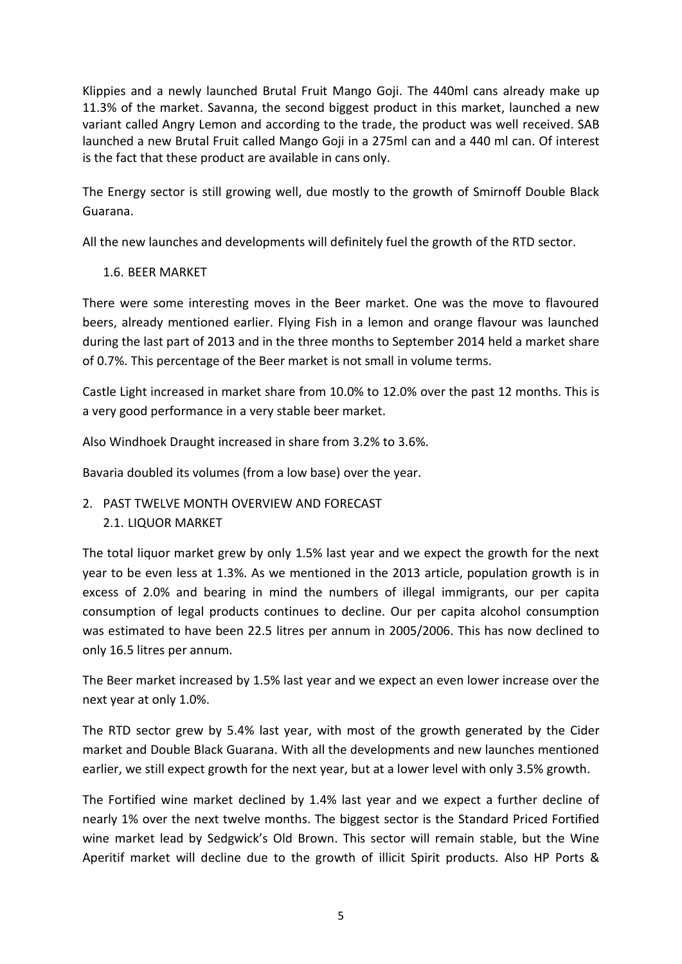Klippies and a newly launched Brutal Fruit Mango Goji. The 440ml cans already make up 11.3% of the market. Savanna, the second biggest product in this market, launched a new variant called Angry Lemon and according to the trade, the product was well received. SAB launched a new Brutal Fruit called Mango Goji in a 275ml can and a 440 ml can. Of interest is the fact that these product are available in cans only.

The Energy sector is still growing well, due mostly to the growth of Smirnoff Double Black Guarana.

All the new launches and developments will definitely fuel the growth of the RTD sector.

## 1.6. BEER MARKET

There were some interesting moves in the Beer market. One was the move to flavoured beers, already mentioned earlier. Flying Fish in a lemon and orange flavour was launched during the last part of 2013 and in the three months to September 2014 held a market share of 0.7%. This percentage of the Beer market is not small in volume terms.

Castle Light increased in market share from 10.0% to 12.0% over the past 12 months. This is a very good performance in a very stable beer market.

Also Windhoek Draught increased in share from 3.2% to 3.6%.

Bavaria doubled its volumes (from a low base) over the year.

# 2. PAST TWELVE MONTH OVERVIEW AND FORECAST

## 2.1. LIQUOR MARKET

The total liquor market grew by only 1.5% last year and we expect the growth for the next year to be even less at 1.3%. As we mentioned in the 2013 article, population growth is in excess of 2.0% and bearing in mind the numbers of illegal immigrants, our per capita consumption of legal products continues to decline. Our per capita alcohol consumption was estimated to have been 22.5 litres per annum in 2005/2006. This has now declined to only 16.5 litres per annum.

The Beer market increased by 1.5% last year and we expect an even lower increase over the next year at only 1.0%.

The RTD sector grew by 5.4% last year, with most of the growth generated by the Cider market and Double Black Guarana. With all the developments and new launches mentioned earlier, we still expect growth for the next year, but at a lower level with only 3.5% growth.

The Fortified wine market declined by 1.4% last year and we expect a further decline of nearly 1% over the next twelve months. The biggest sector is the Standard Priced Fortified wine market lead by Sedgwick's Old Brown. This sector will remain stable, but the Wine Aperitif market will decline due to the growth of illicit Spirit products. Also HP Ports &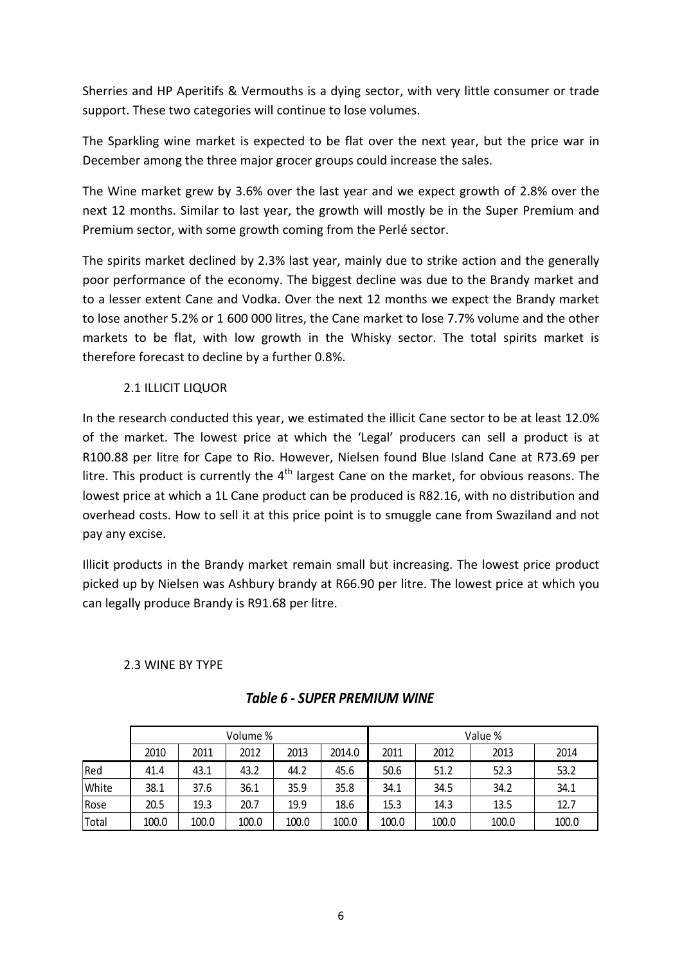Sherries and HP Aperitifs & Vermouths is a dying sector, with very little consumer or trade support. These two categories will continue to lose volumes.

The Sparkling wine market is expected to be flat over the next year, but the price war in December among the three major grocer groups could increase the sales.

The Wine market grew by 3.6% over the last year and we expect growth of 2.8% over the next 12 months. Similar to last year, the growth will mostly be in the Super Premium and Premium sector, with some growth coming from the Perlé sector.

The spirits market declined by 2.3% last year, mainly due to strike action and the generally poor performance of the economy. The biggest decline was due to the Brandy market and to a lesser extent Cane and Vodka. Over the next 12 months we expect the Brandy market to lose another 5.2% or 1 600 000 litres, the Cane market to lose 7.7% volume and the other markets to be flat, with low growth in the Whisky sector. The total spirits market is therefore forecast to decline by a further 0.8%.

## 2.1 ILLICIT LIQUOR

In the research conducted this year, we estimated the illicit Cane sector to be at least 12.0% of the market. The lowest price at which the 'Legal' producers can sell a product is at R100.88 per litre for Cape to Rio. However, Nielsen found Blue Island Cane at R73.69 per litre. This product is currently the  $4<sup>th</sup>$  largest Cane on the market, for obvious reasons. The lowest price at which a 1L Cane product can be produced is R82.16, with no distribution and overhead costs. How to sell it at this price point is to smuggle cane from Swaziland and not pay any excise.

Illicit products in the Brandy market remain small but increasing. The lowest price product picked up by Nielsen was Ashbury brandy at R66.90 per litre. The lowest price at which you can legally produce Brandy is R91.68 per litre.

## 2.3 WINE BY TYPE

|       | Volume % |       |       |       |        |       | Value % |       |       |  |  |
|-------|----------|-------|-------|-------|--------|-------|---------|-------|-------|--|--|
|       | 2010     | 2011  | 2012  | 2013  | 2014.0 | 2011  | 2012    | 2013  | 2014  |  |  |
| Red   | 41.4     | 43.1  | 43.2  | 44.2  | 45.6   | 50.6  | 51.2    | 52.3  | 53.2  |  |  |
| White | 38.1     | 37.6  | 36.1  | 35.9  | 35.8   | 34.1  | 34.5    | 34.2  | 34.1  |  |  |
| Rose  | 20.5     | 19.3  | 20.7  | 19.9  | 18.6   | 15.3  | 14.3    | 13.5  | 12.7  |  |  |
| Total | 100.0    | 100.0 | 100.0 | 100.0 | 100.0  | 100.0 | 100.0   | 100.0 | 100.0 |  |  |

## *Table 6 - SUPER PREMIUM WINE*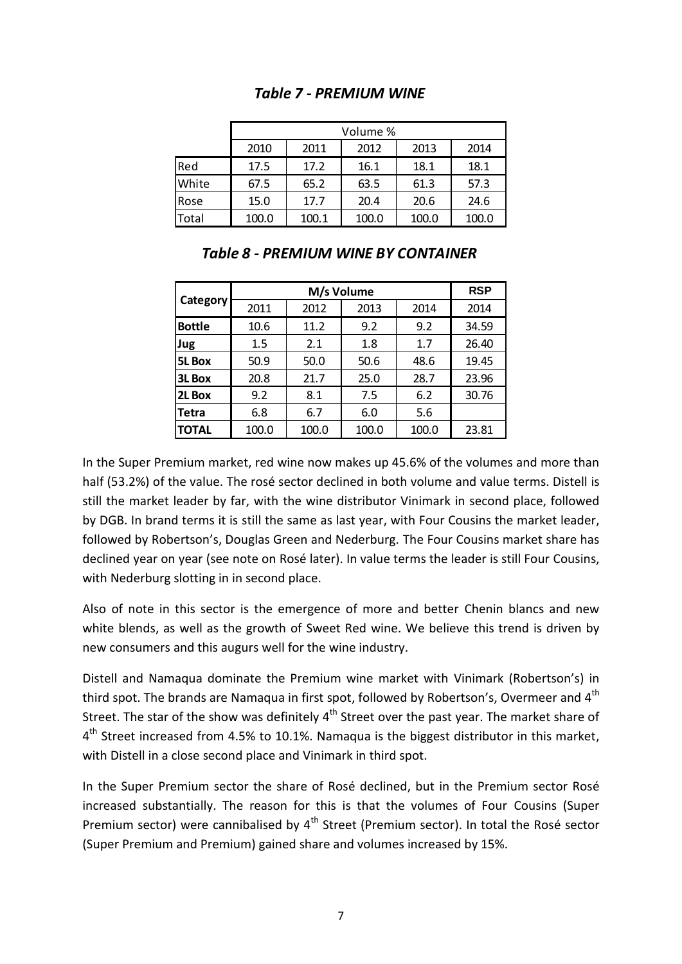|       | Volume % |       |       |       |       |  |  |  |  |  |  |
|-------|----------|-------|-------|-------|-------|--|--|--|--|--|--|
|       | 2010     | 2011  | 2012  | 2013  | 2014  |  |  |  |  |  |  |
| Red   | 17.5     | 17.2  | 16.1  | 18.1  | 18.1  |  |  |  |  |  |  |
| White | 67.5     | 65.2  | 63.5  | 61.3  | 57.3  |  |  |  |  |  |  |
| Rose  | 15.0     | 17.7  | 20.4  | 20.6  | 24.6  |  |  |  |  |  |  |
| Total | 100.0    | 100.1 | 100.0 | 100.0 | 100.0 |  |  |  |  |  |  |

# *Table 7 - PREMIUM WINE*

|               |       | <b>RSP</b> |       |       |       |
|---------------|-------|------------|-------|-------|-------|
| Category      | 2011  | 2012       | 2013  | 2014  | 2014  |
| <b>Bottle</b> | 10.6  | 11.2       | 9.2   | 9.2   | 34.59 |
| Jug           | 1.5   | 2.1        |       | 1.7   | 26.40 |
| <b>5L Box</b> | 50.9  | 50.0       | 50.6  | 48.6  | 19.45 |
| 3L Box        | 20.8  | 21.7       | 25.0  | 28.7  | 23.96 |
| 2L Box        | 9.2   | 8.1        | 7.5   | 6.2   | 30.76 |
| <b>Tetra</b>  | 6.8   | 6.7        | 6.0   | 5.6   |       |
| <b>TOTAL</b>  | 100.0 | 100.0      | 100.0 | 100.0 | 23.81 |

## *Table 8 - PREMIUM WINE BY CONTAINER*

In the Super Premium market, red wine now makes up 45.6% of the volumes and more than half (53.2%) of the value. The rosé sector declined in both volume and value terms. Distell is still the market leader by far, with the wine distributor Vinimark in second place, followed by DGB. In brand terms it is still the same as last year, with Four Cousins the market leader, followed by Robertson's, Douglas Green and Nederburg. The Four Cousins market share has declined year on year (see note on Rosé later). In value terms the leader is still Four Cousins, with Nederburg slotting in in second place.

Also of note in this sector is the emergence of more and better Chenin blancs and new white blends, as well as the growth of Sweet Red wine. We believe this trend is driven by new consumers and this augurs well for the wine industry.

Distell and Namaqua dominate the Premium wine market with Vinimark (Robertson's) in third spot. The brands are Namaqua in first spot, followed by Robertson's, Overmeer and  $4<sup>th</sup>$ Street. The star of the show was definitely  $4<sup>th</sup>$  Street over the past year. The market share of 4<sup>th</sup> Street increased from 4.5% to 10.1%. Namaqua is the biggest distributor in this market, with Distell in a close second place and Vinimark in third spot.

In the Super Premium sector the share of Rosé declined, but in the Premium sector Rosé increased substantially. The reason for this is that the volumes of Four Cousins (Super Premium sector) were cannibalised by  $4<sup>th</sup>$  Street (Premium sector). In total the Rosé sector (Super Premium and Premium) gained share and volumes increased by 15%.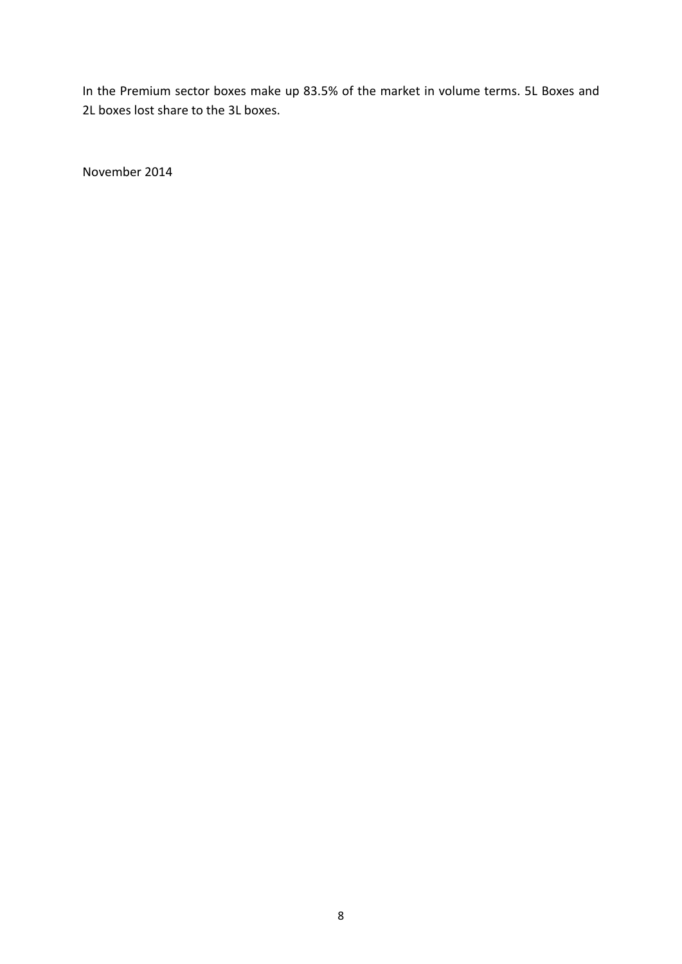In the Premium sector boxes make up 83.5% of the market in volume terms. 5L Boxes and 2L boxes lost share to the 3L boxes.

November 2014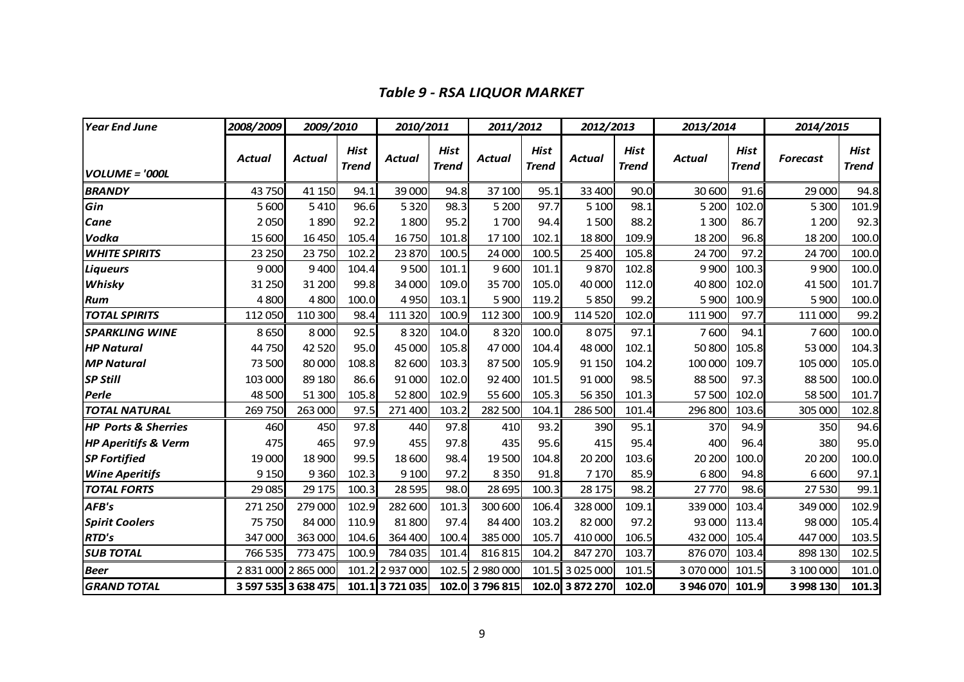# *Table 9 - RSA LIQUOR MARKET*

| <b>Year End June</b>           | 2008/2009     | 2009/2010           |                             | 2010/2011       |                             | 2011/2012       |                      | 2012/2013       |                      | 2013/2014     |                      | 2014/2015       |                      |
|--------------------------------|---------------|---------------------|-----------------------------|-----------------|-----------------------------|-----------------|----------------------|-----------------|----------------------|---------------|----------------------|-----------------|----------------------|
| <b>VOLUME = '000L</b>          | <b>Actual</b> | <b>Actual</b>       | <b>Hist</b><br><b>Trend</b> | Actual          | <b>Hist</b><br><b>Trend</b> | <b>Actual</b>   | Hist<br><b>Trend</b> | <b>Actual</b>   | Hist<br><b>Trend</b> | <b>Actual</b> | Hist<br><b>Trend</b> | <b>Forecast</b> | Hist<br><b>Trend</b> |
| <b>BRANDY</b>                  | 43750         | 41 150              | 94.1                        | 39 000          | 94.8                        | 37 100          | 95.1                 | 33 400          | 90.0                 | 30 600        | 91.6                 | 29 000          | 94.8                 |
| Gin                            | 5 600         | 5410                | 96.6                        | 5 3 2 0         | 98.3                        | 5 200           | 97.7                 | 5 100           | 98.1                 | 5 200         | 102.0                | 5 300           | 101.9                |
| Cane                           | 2050          | 1890                | 92.2                        | 1800            | 95.2                        | 1700            | 94.4                 | 1500            | 88.2                 | 1 300         | 86.7                 | 1 200           | 92.3                 |
| Vodka                          | 15 600        | 16 450              | 105.4                       | 16750           | 101.8                       | 17 100          | 102.1                | 18 800          | 109.9                | 18 200        | 96.8                 | 18 200          | 100.0                |
| <b>WHITE SPIRITS</b>           | 23 250        | 23750               | 102.2                       | 23 870          | 100.5                       | 24 000          | 100.5                | 25 400          | 105.8                | 24 700        | 97.2                 | 24 700          | 100.0                |
| <b>Liqueurs</b>                | 9 0 0 0       | 9400                | 104.4                       | 9500            | 101.1                       | 9600            | 101.1                | 9870            | 102.8                | 9 9 0 0       | 100.3                | 9 9 0 0         | 100.0                |
| Whisky                         | 31 250        | 31 200              | 99.8                        | 34 000          | 109.0                       | 35 700          | 105.0                | 40 000          | 112.0                | 40800         | 102.0                | 41 500          | 101.7                |
| <b>Rum</b>                     | 4800          | 4800                | 100.0                       | 4950            | 103.1                       | 5 900           | 119.2                | 5850            | 99.2                 | 5 900         | 100.9                | 5 900           | 100.0                |
| <b>TOTAL SPIRITS</b>           | 112 050       | 110 300             | 98.4                        | 111 320         | 100.9                       | 112 300         | 100.9                | 114520          | 102.0                | 111 900       | 97.7                 | 111 000         | 99.2                 |
| <b>SPARKLING WINE</b>          | 8650          | 8 0 0 0             | 92.5                        | 8320            | 104.0                       | 8320            | 100.0                | 8075            | 97.1                 | 7600          | 94.1                 | 7600            | 100.0                |
| <b>HP Natural</b>              | 44750         | 42 5 20             | 95.0                        | 45 000          | 105.8                       | 47000           | 104.4                | 48 000          | 102.1                | 50800         | 105.8                | 53 000          | 104.3                |
| <b>MP Natural</b>              | 73 500        | 80 000              | 108.8                       | 82 600          | 103.3                       | 87 500          | 105.9                | 91 150          | 104.2                | 100 000       | 109.7                | 105 000         | 105.0                |
| <b>SP Still</b>                | 103 000       | 89 180              | 86.6                        | 91 000          | 102.0                       | 92 400          | 101.5                | 91 000          | 98.5                 | 88 500        | 97.3                 | 88 500          | 100.0                |
| Perle                          | 48 500        | 51 300              | 105.8                       | 52 800          | 102.9                       | 55 600          | 105.3                | 56 350          | 101.3                | 57 500        | 102.0                | 58 500          | 101.7                |
| <b>TOTAL NATURAL</b>           | 269 750       | 263 000             | 97.5                        | 271 400         | 103.2                       | 282 500         | 104.1                | 286 500         | 101.4                | 296 800       | 103.6                | 305 000         | 102.8                |
| <b>HP Ports &amp; Sherries</b> | 460           | 450                 | 97.8                        | 440             | 97.8                        | 410             | 93.2                 | 390             | 95.1                 | 370           | 94.9                 | 350             | 94.6                 |
| <b>HP Aperitifs &amp; Verm</b> | 475           | 465                 | 97.9                        | 455             | 97.8                        | 435             | 95.6                 | 415             | 95.4                 | 400           | 96.4                 | 380             | 95.0                 |
| <b>SP Fortified</b>            | 19 000        | 18 900              | 99.5                        | 18 600          | 98.4                        | 19 500          | 104.8                | 20 200          | 103.6                | 20 200        | 100.0                | 20 200          | 100.0                |
| <b>Wine Aperitifs</b>          | 9 1 5 0       | 9360                | 102.3                       | 9 1 0 0         | 97.2                        | 8 3 5 0         | 91.8                 | 7 1 7 0         | 85.9                 | 6800          | 94.8                 | 6 600           | 97.1                 |
| <b>TOTAL FORTS</b>             | 29 0 85       | 29 175              | 100.3                       | 28 5 95         | 98.0                        | 28 695          | 100.3                | 28 175          | 98.2                 | 27770         | 98.6                 | 27 530          | 99.1                 |
| AFB's                          | 271 250       | 279 000             | 102.9                       | 282 600         | 101.3                       | 300 600         | 106.4                | 328 000         | 109.1                | 339 000       | 103.4                | 349 000         | 102.9                |
| <b>Spirit Coolers</b>          | 75 750        | 84 000              | 110.9                       | 81 800          | 97.4                        | 84 400          | 103.2                | 82 000          | 97.2                 | 93 000        | 113.4                | 98 000          | 105.4                |
| RTD's                          | 347 000       | 363 000             | 104.6                       | 364 400         | 100.4                       | 385 000         | 105.7                | 410 000         | 106.5                | 432 000       | 105.4                | 447 000         | 103.5                |
| <b>SUB TOTAL</b>               | 766 535       | 773 475             | 100.9                       | 784 035         | 101.4                       | 816 815         | 104.2                | 847 270         | 103.7                | 876070        | 103.4                | 898 130         | 102.5                |
| <b>Beer</b>                    |               | 2 831 000 2 865 000 |                             | 101.2 2 937 000 | 102.5                       | 2 980 000       |                      | 101.5 3 025 000 | 101.5                | 3070000       | 101.5                | 3 100 000       | 101.0                |
| <b>GRAND TOTAL</b>             |               | 3 597 535 3 638 475 |                             | 101.1 3 721 035 |                             | 102.0 3 796 815 |                      | 102.0 3 872 270 | 102.0                | 3946070       | 101.9                | 3 998 130       | 101.3                |